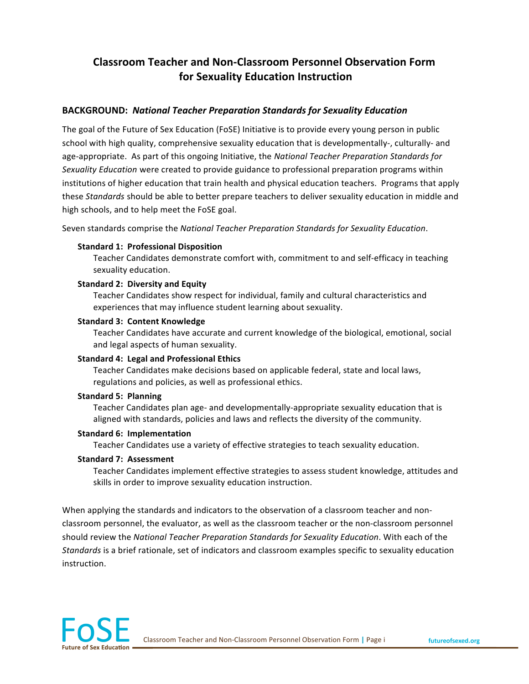## **Classroom)Teacher)and)Non1Classroom)Personnel)Observation)Form for Sexuality Education Instruction**

### **BACKGROUND:))***National(Teacher(Preparation(Standards(for(Sexuality(Education*

The goal of the Future of Sex Education (FoSE) Initiative is to provide every young person in public school with high quality, comprehensive sexuality education that is developmentally-, culturally- and age-appropriate. As part of this ongoing Initiative, the *National Teacher Preparation Standards for* Sexuality Education were created to provide guidance to professional preparation programs within institutions of higher education that train health and physical education teachers. Programs that apply these *Standards* should be able to better prepare teachers to deliver sexuality education in middle and high schools, and to help meet the FoSE goal.

Seven standards comprise the *National Teacher Preparation Standards for Sexuality Education*.

#### **Standard 1: Professional Disposition**

Teacher Candidates demonstrate comfort with, commitment to and self-efficacy in teaching sexuality education.

#### **Standard 2: Diversity and Equity**

Teacher Candidates show respect for individual, family and cultural characteristics and experiences that may influence student learning about sexuality.

#### **Standard 3: Content Knowledge**

Teacher Candidates have accurate and current knowledge of the biological, emotional, social and legal aspects of human sexuality.

#### **Standard 4: Legal and Professional Ethics**

Teacher Candidates make decisions based on applicable federal, state and local laws, regulations and policies, as well as professional ethics.

#### **Standard 5: Planning**

Teacher Candidates plan age- and developmentally-appropriate sexuality education that is aligned with standards, policies and laws and reflects the diversity of the community.

#### Standard 6: Implementation

Teacher Candidates use a variety of effective strategies to teach sexuality education.

#### Standard 7: Assessment

Teacher Candidates implement effective strategies to assess student knowledge, attitudes and skills in order to improve sexuality education instruction.

When applying the standards and indicators to the observation of a classroom teacher and nonclassroom personnel, the evaluator, as well as the classroom teacher or the non-classroom personnel should review the *National Teacher Preparation Standards for Sexuality Education*. With each of the *Standards* is a brief rationale, set of indicators and classroom examples specific to sexuality education instruction.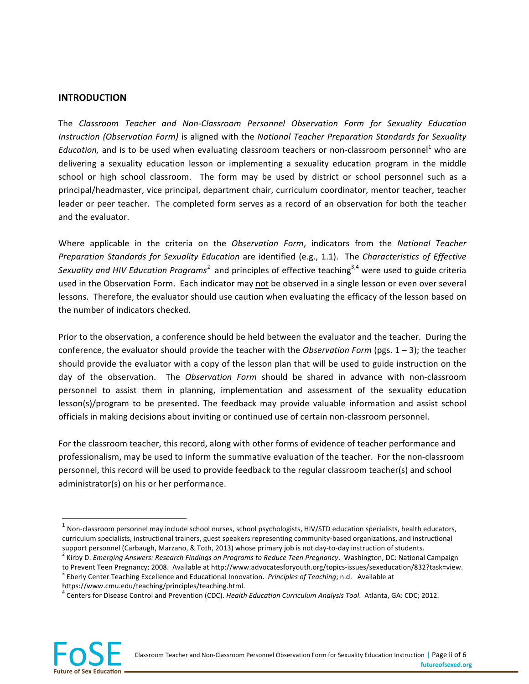### **INTRODUCTION**

The Classroom Teacher and Non-Classroom Personnel Observation Form for Sexuality Education *Instruction (Observation Form)* is aligned with the *National Teacher Preparation Standards for Sexuality Education*, and is to be used when evaluating classroom teachers or non-classroom personnel<sup>1</sup> who are delivering a sexuality education lesson or implementing a sexuality education program in the middle school or high school classroom. The form may be used by district or school personnel such as a principal/headmaster, vice principal, department chair, curriculum coordinator, mentor teacher, teacher leader or peer teacher. The completed form serves as a record of an observation for both the teacher and the evaluator.

Where applicable in the criteria on the *Observation Form*, indicators from the *National Teacher Preparation Standards for Sexuality Education* are identified (e.g., 1.1). The *Characteristics of Effective Sexuality and HIV Education Programs*<sup>2</sup> and principles of effective teaching<sup>3,4</sup> were used to guide criteria used in the Observation Form. Each indicator may not be observed in a single lesson or even over several lessons. Therefore, the evaluator should use caution when evaluating the efficacy of the lesson based on the number of indicators checked.

Prior to the observation, a conference should be held between the evaluator and the teacher. During the conference, the evaluator should provide the teacher with the *Observation Form* (pgs. 1 – 3); the teacher should provide the evaluator with a copy of the lesson plan that will be used to guide instruction on the day of the observation. The Observation Form should be shared in advance with non-classroom personnel to assist them in planning, implementation and assessment of the sexuality education lesson(s)/program to be presented. The feedback may provide valuable information and assist school officials in making decisions about inviting or continued use of certain non-classroom personnel.

For the classroom teacher, this record, along with other forms of evidence of teacher performance and professionalism, may be used to inform the summative evaluation of the teacher. For the non-classroom personnel, this record will be used to provide feedback to the regular classroom teacher(s) and school administrator(s) on his or her performance.



!!!!!!!!!!!!!!!!!!!!!!!!!!!!!!!!!!!!!!!!!!!!!!!!!!!!!!!!!!!!

 $1$  Non-classroom personnel may include school nurses, school psychologists, HIV/STD education specialists, health educators, curriculum specialists, instructional trainers, guest speakers representing community-based organizations, and instructional support personnel (Carbaugh, Marzano, & Toth, 2013) whose primary job is not day-to-day instruction of students.<br><sup>2</sup> Kirby D. *Emerging Answers: Research Findings on Programs to Reduce Teen Pregnancy*. Washington, DC: Nati

to Prevent Teen Pregnancy; 2008. Available at http://www.advocatesforyouth.org/topics-issues/sexeducation/832?task=view.<br><sup>3</sup> Eberly Center Teaching Excellence and Educational Innovation. *Principles of Teaching*; n.d. Avai

https://www.cmu.edu/teaching/principles/teaching.html.

<sup>&</sup>lt;sup>4</sup> Centers for Disease Control and Prevention (CDC). *Health Education Curriculum Analysis Tool*. Atlanta, GA: CDC; 2012.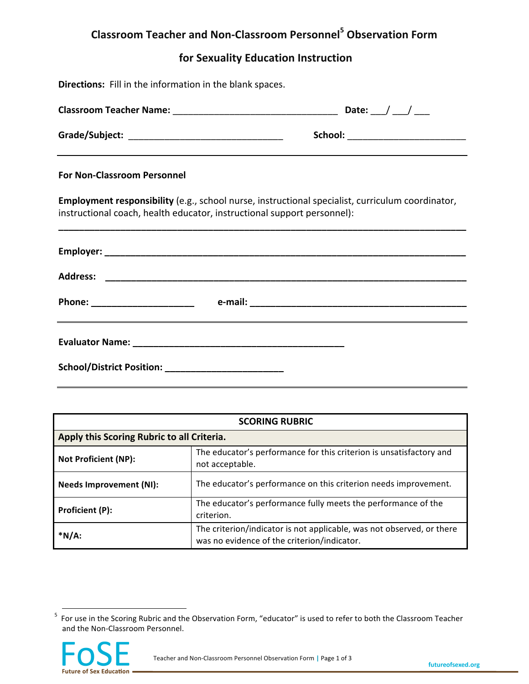# **Classroom)Teacher)and)Non1Classroom)Personnel<sup>5</sup> Observation)Form**

## for Sexuality Education Instruction

| Directions: Fill in the information in the blank spaces.                                                                                                                           |                                      |  |  |  |  |  |
|------------------------------------------------------------------------------------------------------------------------------------------------------------------------------------|--------------------------------------|--|--|--|--|--|
|                                                                                                                                                                                    |                                      |  |  |  |  |  |
|                                                                                                                                                                                    | School: ____________________________ |  |  |  |  |  |
| <b>For Non-Classroom Personnel</b>                                                                                                                                                 |                                      |  |  |  |  |  |
| <b>Employment responsibility</b> (e.g., school nurse, instructional specialist, curriculum coordinator,<br>instructional coach, health educator, instructional support personnel): |                                      |  |  |  |  |  |
|                                                                                                                                                                                    |                                      |  |  |  |  |  |
|                                                                                                                                                                                    |                                      |  |  |  |  |  |
| <u> 1989 - Johann Stoff, deutscher Stoffen und der Stoffen und der Stoffen und der Stoffen und der Stoffen und de</u>                                                              |                                      |  |  |  |  |  |
|                                                                                                                                                                                    |                                      |  |  |  |  |  |
|                                                                                                                                                                                    |                                      |  |  |  |  |  |

| <b>SCORING RUBRIC</b>                      |                                                                                                                      |  |  |  |  |
|--------------------------------------------|----------------------------------------------------------------------------------------------------------------------|--|--|--|--|
| Apply this Scoring Rubric to all Criteria. |                                                                                                                      |  |  |  |  |
| <b>Not Proficient (NP):</b>                | The educator's performance for this criterion is unsatisfactory and<br>not acceptable.                               |  |  |  |  |
| <b>Needs Improvement (NI):</b>             | The educator's performance on this criterion needs improvement.                                                      |  |  |  |  |
| <b>Proficient (P):</b>                     | The educator's performance fully meets the performance of the<br>criterion.                                          |  |  |  |  |
| $*N/A$ :                                   | The criterion/indicator is not applicable, was not observed, or there<br>was no evidence of the criterion/indicator. |  |  |  |  |

 $<sup>5</sup>$  For use in the Scoring Rubric and the Observation Form, "educator" is used to refer to both the Classroom Teacher</sup> and the Non-Classroom Personnel.



!!!!!!!!!!!!!!!!!!!!!!!!!!!!!!!!!!!!!!!!!!!!!!!!!!!!!!!!!!!!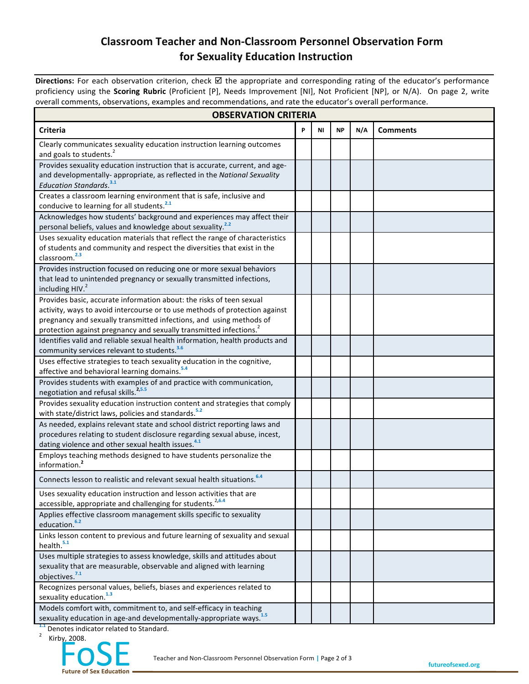## **Classroom)Teacher)and)Non1Classroom)Personnel)Observation)Form for Sexuality Education Instruction**

Directions: For each observation criterion, check ⊠ the appropriate and corresponding rating of the educator's performance proficiency using the Scoring Rubric (Proficient [P], Needs Improvement [NI], Not Proficient [NP], or N/A). On page 2, write overall comments, observations, examples and recommendations, and rate the educator's overall performance.

| <b>OBSERVATION CRITERIA</b>                                                                                                                                                                                                                                                                                  |   |           |           |     |                 |
|--------------------------------------------------------------------------------------------------------------------------------------------------------------------------------------------------------------------------------------------------------------------------------------------------------------|---|-----------|-----------|-----|-----------------|
| <b>Criteria</b>                                                                                                                                                                                                                                                                                              | P | <b>NI</b> | <b>NP</b> | N/A | <b>Comments</b> |
| Clearly communicates sexuality education instruction learning outcomes<br>and goals to students. <sup>2</sup>                                                                                                                                                                                                |   |           |           |     |                 |
| Provides sexuality education instruction that is accurate, current, and age-<br>and developmentally- appropriate, as reflected in the National Sexuality<br><b>Education Standards.</b> <sup>3.1</sup>                                                                                                       |   |           |           |     |                 |
| Creates a classroom learning environment that is safe, inclusive and<br>conducive to learning for all students. <sup>2.1</sup>                                                                                                                                                                               |   |           |           |     |                 |
| Acknowledges how students' background and experiences may affect their<br>personal beliefs, values and knowledge about sexuality. <sup>2.2</sup>                                                                                                                                                             |   |           |           |     |                 |
| Uses sexuality education materials that reflect the range of characteristics<br>of students and community and respect the diversities that exist in the<br>classroom. <sup>2.3</sup>                                                                                                                         |   |           |           |     |                 |
| Provides instruction focused on reducing one or more sexual behaviors<br>that lead to unintended pregnancy or sexually transmitted infections,<br>including HIV. <sup>2</sup>                                                                                                                                |   |           |           |     |                 |
| Provides basic, accurate information about: the risks of teen sexual<br>activity, ways to avoid intercourse or to use methods of protection against<br>pregnancy and sexually transmitted infections, and using methods of<br>protection against pregnancy and sexually transmitted infections. <sup>2</sup> |   |           |           |     |                 |
| Identifies valid and reliable sexual health information, health products and<br>community services relevant to students. <sup>3.6</sup>                                                                                                                                                                      |   |           |           |     |                 |
| Uses effective strategies to teach sexuality education in the cognitive,<br>affective and behavioral learning domains. <sup>5.4</sup>                                                                                                                                                                        |   |           |           |     |                 |
| Provides students with examples of and practice with communication,<br>negotiation and refusal skills. <sup>2,5.5</sup>                                                                                                                                                                                      |   |           |           |     |                 |
| Provides sexuality education instruction content and strategies that comply<br>with state/district laws, policies and standards. <sup>5.2</sup>                                                                                                                                                              |   |           |           |     |                 |
| As needed, explains relevant state and school district reporting laws and<br>procedures relating to student disclosure regarding sexual abuse, incest,<br>dating violence and other sexual health issues. <sup>4.1</sup>                                                                                     |   |           |           |     |                 |
| Employs teaching methods designed to have students personalize the<br>information. <sup>2</sup>                                                                                                                                                                                                              |   |           |           |     |                 |
| Connects lesson to realistic and relevant sexual health situations. <sup>6.4</sup>                                                                                                                                                                                                                           |   |           |           |     |                 |
| Uses sexuality education instruction and lesson activities that are<br>accessible, appropriate and challenging for students. <sup>2,6.4</sup>                                                                                                                                                                |   |           |           |     |                 |
| Applies effective classroom management skills specific to sexuality<br>education. <sup>6.2</sup>                                                                                                                                                                                                             |   |           |           |     |                 |
| Links lesson content to previous and future learning of sexuality and sexual<br>health. <sup>5.1</sup>                                                                                                                                                                                                       |   |           |           |     |                 |
| Uses multiple strategies to assess knowledge, skills and attitudes about<br>sexuality that are measurable, observable and aligned with learning<br>objectives. <sup>7.1</sup>                                                                                                                                |   |           |           |     |                 |
| Recognizes personal values, beliefs, biases and experiences related to<br>sexuality education. <sup>1.3</sup>                                                                                                                                                                                                |   |           |           |     |                 |
| Models comfort with, commitment to, and self-efficacy in teaching<br>sexuality education in age-and developmentally-appropriate ways. <sup>1.5</sup>                                                                                                                                                         |   |           |           |     |                 |

**1.1** Denotes indicator related to Standard.

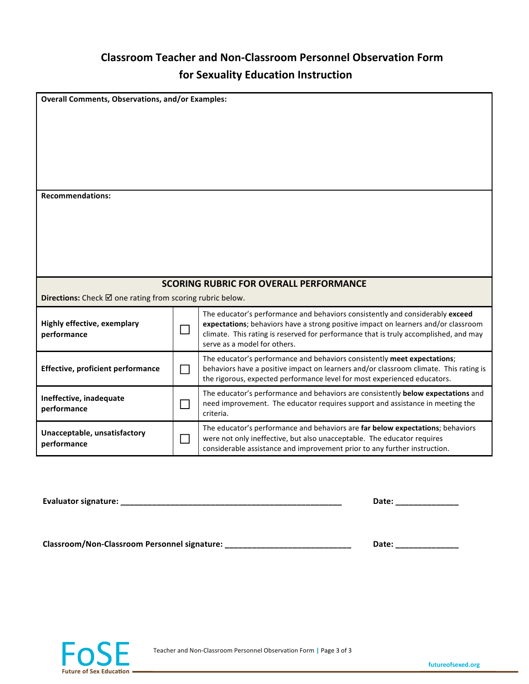# **Classroom)Teacher)and)Non1Classroom)Personnel)Observation)Form for Sexuality Education Instruction**

| <b>Overall Comments, Observations, and/or Examples:</b>                                                                     |               |                                                                                                                                                                                                                                                                                             |  |  |
|-----------------------------------------------------------------------------------------------------------------------------|---------------|---------------------------------------------------------------------------------------------------------------------------------------------------------------------------------------------------------------------------------------------------------------------------------------------|--|--|
| <b>Recommendations:</b>                                                                                                     |               |                                                                                                                                                                                                                                                                                             |  |  |
| <b>SCORING RUBRIC FOR OVERALL PERFORMANCE</b><br><b>Directions:</b> Check $\boxtimes$ one rating from scoring rubric below. |               |                                                                                                                                                                                                                                                                                             |  |  |
| Highly effective, exemplary<br>performance                                                                                  |               | The educator's performance and behaviors consistently and considerably exceed<br>expectations; behaviors have a strong positive impact on learners and/or classroom<br>climate. This rating is reserved for performance that is truly accomplished, and may<br>serve as a model for others. |  |  |
| <b>Effective, proficient performance</b>                                                                                    | $\mathcal{L}$ | The educator's performance and behaviors consistently meet expectations;<br>behaviors have a positive impact on learners and/or classroom climate. This rating is<br>the rigorous, expected performance level for most experienced educators.                                               |  |  |
| Ineffective, inadequate<br>performance                                                                                      | $\mathcal{L}$ | The educator's performance and behaviors are consistently below expectations and<br>need improvement. The educator requires support and assistance in meeting the<br>criteria.                                                                                                              |  |  |
| Unacceptable, unsatisfactory<br>performance                                                                                 |               | The educator's performance and behaviors are far below expectations; behaviors<br>were not only ineffective, but also unacceptable. The educator requires<br>considerable assistance and improvement prior to any further instruction.                                                      |  |  |

**Evaluator)signature: \_\_\_\_\_\_\_\_\_\_\_\_\_\_\_\_\_\_\_\_\_\_\_\_\_\_\_\_\_\_\_\_\_\_\_\_\_\_\_\_\_\_\_\_\_\_\_\_\_ Date:)\_\_\_\_\_\_\_\_\_\_\_\_\_\_**

**Classroom/Non1Classroom)Personnel)signature:)\_\_\_\_\_\_\_\_\_\_\_\_\_\_\_\_\_\_\_\_\_\_\_\_\_\_\_\_ Date:)\_\_\_\_\_\_\_\_\_\_\_\_\_\_**